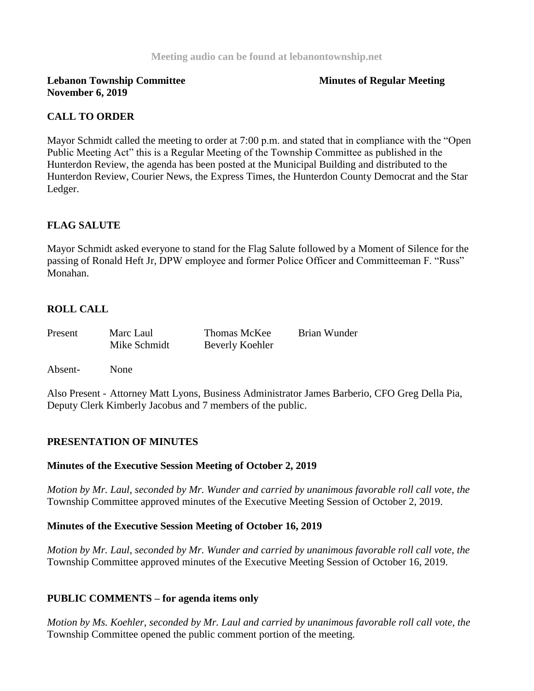## **Lebanon Township Committee Minutes of Regular Meeting November 6, 2019**

## **CALL TO ORDER**

Mayor Schmidt called the meeting to order at 7:00 p.m. and stated that in compliance with the "Open Public Meeting Act" this is a Regular Meeting of the Township Committee as published in the Hunterdon Review, the agenda has been posted at the Municipal Building and distributed to the Hunterdon Review, Courier News, the Express Times, the Hunterdon County Democrat and the Star Ledger.

## **FLAG SALUTE**

Mayor Schmidt asked everyone to stand for the Flag Salute followed by a Moment of Silence for the passing of Ronald Heft Jr, DPW employee and former Police Officer and Committeeman F. "Russ" Monahan.

# **ROLL CALL**

| Present | Marc Laul    | Thomas McKee           | Brian Wunder |
|---------|--------------|------------------------|--------------|
|         | Mike Schmidt | <b>Beverly Koehler</b> |              |

Absent- None

Also Present - Attorney Matt Lyons, Business Administrator James Barberio, CFO Greg Della Pia, Deputy Clerk Kimberly Jacobus and 7 members of the public.

## **PRESENTATION OF MINUTES**

#### **Minutes of the Executive Session Meeting of October 2, 2019**

*Motion by Mr. Laul, seconded by Mr. Wunder and carried by unanimous favorable roll call vote, the* Township Committee approved minutes of the Executive Meeting Session of October 2, 2019.

#### **Minutes of the Executive Session Meeting of October 16, 2019**

*Motion by Mr. Laul, seconded by Mr. Wunder and carried by unanimous favorable roll call vote, the*  Township Committee approved minutes of the Executive Meeting Session of October 16, 2019.

#### **PUBLIC COMMENTS – for agenda items only**

*Motion by Ms. Koehler, seconded by Mr. Laul and carried by unanimous favorable roll call vote, the*  Township Committee opened the public comment portion of the meeting.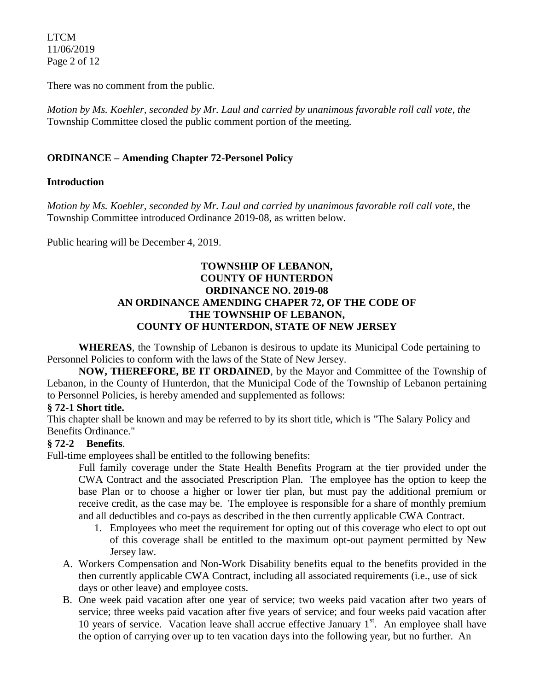LTCM 11/06/2019 Page 2 of 12

There was no comment from the public.

*Motion by Ms. Koehler, seconded by Mr. Laul and carried by unanimous favorable roll call vote, the* Township Committee closed the public comment portion of the meeting.

# **ORDINANCE – Amending Chapter 72-Personel Policy**

#### **Introduction**

*Motion by Ms. Koehler, seconded by Mr. Laul and carried by unanimous favorable roll call vote,* the Township Committee introduced Ordinance 2019-08, as written below.

Public hearing will be December 4, 2019.

#### **TOWNSHIP OF LEBANON, COUNTY OF HUNTERDON ORDINANCE NO. 2019-08 AN ORDINANCE AMENDING CHAPER 72, OF THE CODE OF THE TOWNSHIP OF LEBANON, COUNTY OF HUNTERDON, STATE OF NEW JERSEY**

**WHEREAS**, the Township of Lebanon is desirous to update its Municipal Code pertaining to Personnel Policies to conform with the laws of the State of New Jersey.

**NOW, THEREFORE, BE IT ORDAINED**, by the Mayor and Committee of the Township of Lebanon, in the County of Hunterdon, that the Municipal Code of the Township of Lebanon pertaining to Personnel Policies, is hereby amended and supplemented as follows:

#### **[§ 72-1 Short title.](https://ecode360.com/6916482#6916483)**

This chapter shall be known and may be referred to by its short title, which is "The Salary Policy and Benefits Ordinance."

## **§ 72-2 Benefits**.

Full-time employees shall be entitled to the following benefits:

Full family coverage under the State Health Benefits Program at the tier provided under the CWA Contract and the associated Prescription Plan. The employee has the option to keep the base Plan or to choose a higher or lower tier plan, but must pay the additional premium or receive credit, as the case may be. The employee is responsible for a share of monthly premium and all deductibles and co-pays as described in the then currently applicable CWA Contract.

- 1. Employees who meet the requirement for opting out of this coverage who elect to opt out of this coverage shall be entitled to the maximum opt-out payment permitted by New Jersey law.
- A. Workers Compensation and Non-Work Disability benefits equal to the benefits provided in the then currently applicable CWA Contract, including all associated requirements (i.e., use of sick days or other leave) and employee costs.
- B. One week paid vacation after one year of service; two weeks paid vacation after two years of service; three weeks paid vacation after five years of service; and four weeks paid vacation after 10 years of service. Vacation leave shall accrue effective January  $1<sup>st</sup>$ . An employee shall have the option of carrying over up to ten vacation days into the following year, but no further. An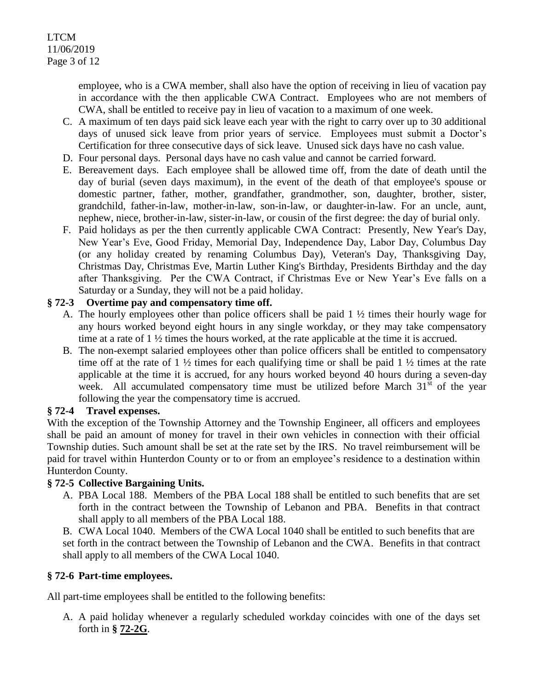employee, who is a CWA member, shall also have the option of receiving in lieu of vacation pay in accordance with the then applicable CWA Contract. Employees who are not members of CWA, shall be entitled to receive pay in lieu of vacation to a maximum of one week.

- C. A maximum of ten days paid sick leave each year with the right to carry over up to 30 additional days of unused sick leave from prior years of service. Employees must submit a Doctor's Certification for three consecutive days of sick leave. Unused sick days have no cash value.
- D. Four personal days. Personal days have no cash value and cannot be carried forward.
- E. Bereavement days. Each employee shall be allowed time off, from the date of death until the day of burial (seven days maximum), in the event of the death of that employee's spouse or domestic partner, father, mother, grandfather, grandmother, son, daughter, brother, sister, grandchild, father-in-law, mother-in-law, son-in-law, or daughter-in-law. For an uncle, aunt, nephew, niece, brother-in-law, sister-in-law, or cousin of the first degree: the day of burial only.
- F. Paid holidays as per the then currently applicable CWA Contract: Presently, New Year's Day, New Year's Eve, Good Friday, Memorial Day, Independence Day, Labor Day, Columbus Day (or any holiday created by renaming Columbus Day), Veteran's Day, Thanksgiving Day, Christmas Day, Christmas Eve, Martin Luther King's Birthday, Presidents Birthday and the day after Thanksgiving. Per the CWA Contract, if Christmas Eve or New Year's Eve falls on a Saturday or a Sunday, they will not be a paid holiday.

# **§ 72-3 Overtime pay and compensatory time off.**

- A. The hourly employees other than police officers shall be paid 1 ½ times their hourly wage for any hours worked beyond eight hours in any single workday, or they may take compensatory time at a rate of 1 ½ times the hours worked, at the rate applicable at the time it is accrued.
- B. The non-exempt salaried employees other than police officers shall be entitled to compensatory time off at the rate of  $1 \frac{1}{2}$  times for each qualifying time or shall be paid  $1 \frac{1}{2}$  times at the rate applicable at the time it is accrued, for any hours worked beyond 40 hours during a seven-day week. All accumulated compensatory time must be utilized before March  $31<sup>st</sup>$  of the year following the year the compensatory time is accrued.

#### **§ 72-4 Travel expenses.**

With the exception of the Township Attorney and the Township Engineer, all officers and employees shall be paid an amount of money for travel in their own vehicles in connection with their official Township duties. Such amount shall be set at the rate set by the IRS. No travel reimbursement will be paid for travel within Hunterdon County or to or from an employee's residence to a destination within Hunterdon County.

## **§ 72-5 Collective Bargaining Units.**

A. PBA Local 188. Members of the PBA Local 188 shall be entitled to such benefits that are set forth in the contract between the Township of Lebanon and PBA. Benefits in that contract shall apply to all members of the PBA Local 188.

B. CWA Local 1040. Members of the CWA Local 1040 shall be entitled to such benefits that are set forth in the contract between the Township of Lebanon and the CWA. Benefits in that contract shall apply to all members of the CWA Local 1040.

## **§ 72-6 Part-time employees.**

All part-time employees shall be entitled to the following benefits:

A. A paid holiday whenever a regularly scheduled workday coincides with one of the days set forth in **§ [72-2G](https://ecode360.com/6916494#6916494)**.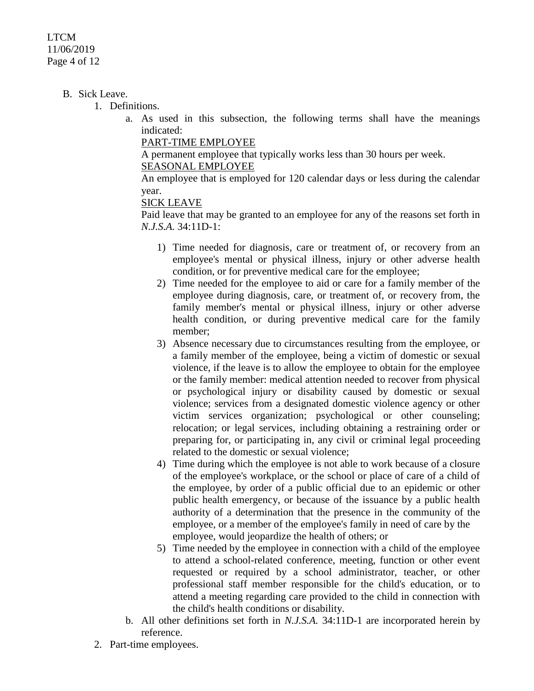#### LTCM 11/06/2019 Page 4 of 12

#### B. Sick Leave.

1. Definitions.

a. As used in this subsection, the following terms shall have the meanings indicated:

[PART-TIME EMPLOYEE](https://ecode360.com/34002072#34002072)

A permanent employee that typically works less than 30 hours per week.

[SEASONAL EMPLOYEE](https://ecode360.com/34002073#34002073)

An employee that is employed for 120 calendar days or less during the calendar year.

#### [SICK LEAVE](https://ecode360.com/34002074#34002074)

Paid leave that may be granted to an employee for any of the reasons set forth in *N.J.S.A.* 34:11D-1:

- 1) Time needed for diagnosis, care or treatment of, or recovery from an employee's mental or physical illness, injury or other adverse health condition, or for preventive medical care for the employee;
- 2) Time needed for the employee to aid or care for a family member of the employee during diagnosis, care, or treatment of, or recovery from, the family member's mental or physical illness, injury or other adverse health condition, or during preventive medical care for the family member;
- 3) Absence necessary due to circumstances resulting from the employee, or a family member of the employee, being a victim of domestic or sexual violence, if the leave is to allow the employee to obtain for the employee or the family member: medical attention needed to recover from physical or psychological injury or disability caused by domestic or sexual violence; services from a designated domestic violence agency or other victim services organization; psychological or other counseling; relocation; or legal services, including obtaining a restraining order or preparing for, or participating in, any civil or criminal legal proceeding related to the domestic or sexual violence;
- 4) Time during which the employee is not able to work because of a closure of the employee's workplace, or the school or place of care of a child of the employee, by order of a public official due to an epidemic or other public health emergency, or because of the issuance by a public health authority of a determination that the presence in the community of the employee, or a member of the employee's family in need of care by the employee, would jeopardize the health of others; or
- 5) Time needed by the employee in connection with a child of the employee to attend a school-related conference, meeting, function or other event requested or required by a school administrator, teacher, or other professional staff member responsible for the child's education, or to attend a meeting regarding care provided to the child in connection with the child's health conditions or disability.
- b. All other definitions set forth in *N.J.S.A.* 34:11D-1 are incorporated herein by reference.
- 2. Part-time employees.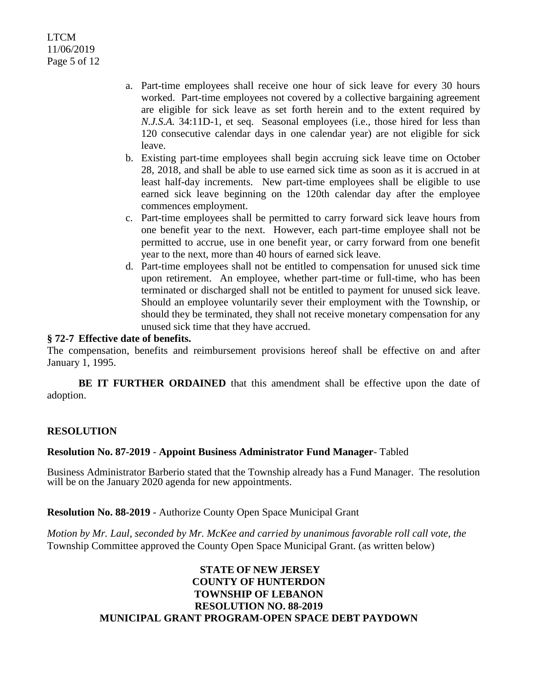- a. Part-time employees shall receive one hour of sick leave for every 30 hours worked. Part-time employees not covered by a collective bargaining agreement are eligible for sick leave as set forth herein and to the extent required by *N.J.S.A.* 34:11D-1, et seq. Seasonal employees (i.e., those hired for less than 120 consecutive calendar days in one calendar year) are not eligible for sick leave.
- b. Existing part-time employees shall begin accruing sick leave time on October 28, 2018, and shall be able to use earned sick time as soon as it is accrued in at least half-day increments. New part-time employees shall be eligible to use earned sick leave beginning on the 120th calendar day after the employee commences employment.
- c. Part-time employees shall be permitted to carry forward sick leave hours from one benefit year to the next. However, each part-time employee shall not be permitted to accrue, use in one benefit year, or carry forward from one benefit year to the next, more than 40 hours of earned sick leave.
- d. Part-time employees shall not be entitled to compensation for unused sick time upon retirement. An employee, whether part-time or full-time, who has been terminated or discharged shall not be entitled to payment for unused sick leave. Should an employee voluntarily sever their employment with the Township, or should they be terminated, they shall not receive monetary compensation for any unused sick time that they have accrued.

#### **§ 72-7 Effective date of benefits.**

The compensation, benefits and reimbursement provisions hereof shall be effective on and after January 1, 1995.

**BE IT FURTHER ORDAINED** that this amendment shall be effective upon the date of adoption.

#### **RESOLUTION**

#### **Resolution No. 87-2019** - **Appoint Business Administrator Fund Manager**- Tabled

Business Administrator Barberio stated that the Township already has a Fund Manager. The resolution will be on the January 2020 agenda for new appointments.

#### **Resolution No. 88-2019** - Authorize County Open Space Municipal Grant

*Motion by Mr. Laul, seconded by Mr. McKee and carried by unanimous favorable roll call vote, the*  Township Committee approved the County Open Space Municipal Grant. (as written below)

#### **STATE OF NEW JERSEY COUNTY OF HUNTERDON TOWNSHIP OF LEBANON RESOLUTION NO. 88-2019 MUNICIPAL GRANT PROGRAM-OPEN SPACE DEBT PAYDOWN**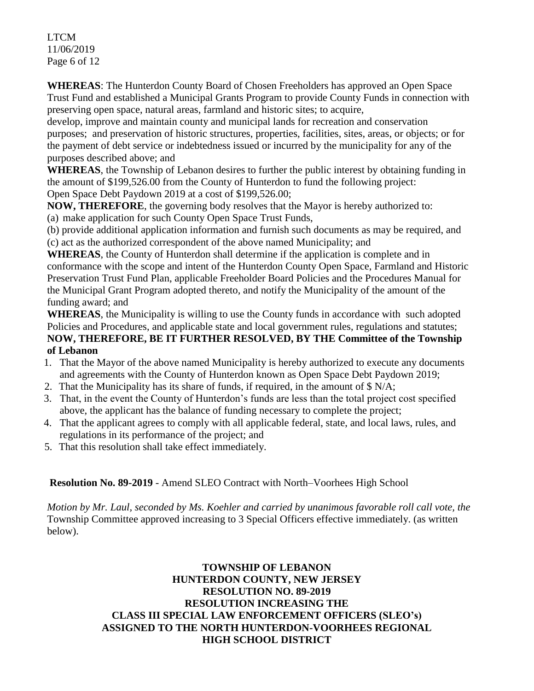LTCM 11/06/2019 Page 6 of 12

**WHEREAS**: The Hunterdon County Board of Chosen Freeholders has approved an Open Space Trust Fund and established a Municipal Grants Program to provide County Funds in connection with preserving open space, natural areas, farmland and historic sites; to acquire,

develop, improve and maintain county and municipal lands for recreation and conservation purposes; and preservation of historic structures, properties, facilities, sites, areas, or objects; or for the payment of debt service or indebtedness issued or incurred by the municipality for any of the purposes described above; and

**WHEREAS**, the Township of Lebanon desires to further the public interest by obtaining funding in the amount of \$199,526.00 from the County of Hunterdon to fund the following project: Open Space Debt Paydown 2019 at a cost of \$199,526.00;

**NOW, THEREFORE**, the governing body resolves that the Mayor is hereby authorized to: (a) make application for such County Open Space Trust Funds,

(b) provide additional application information and furnish such documents as may be required, and (c) act as the authorized correspondent of the above named Municipality; and

**WHEREAS**, the County of Hunterdon shall determine if the application is complete and in conformance with the scope and intent of the Hunterdon County Open Space, Farmland and Historic Preservation Trust Fund Plan, applicable Freeholder Board Policies and the Procedures Manual for the Municipal Grant Program adopted thereto, and notify the Municipality of the amount of the funding award; and

**WHEREAS**, the Municipality is willing to use the County funds in accordance with such adopted Policies and Procedures, and applicable state and local government rules, regulations and statutes; **NOW, THEREFORE, BE IT FURTHER RESOLVED, BY THE Committee of the Township of Lebanon**

- 1. That the Mayor of the above named Municipality is hereby authorized to execute any documents and agreements with the County of Hunterdon known as Open Space Debt Paydown 2019;
- 2. That the Municipality has its share of funds, if required, in the amount of \$ N/A;
- 3. That, in the event the County of Hunterdon's funds are less than the total project cost specified above, the applicant has the balance of funding necessary to complete the project;
- 4. That the applicant agrees to comply with all applicable federal, state, and local laws, rules, and regulations in its performance of the project; and
- 5. That this resolution shall take effect immediately.

# **Resolution No. 89-2019** - Amend SLEO Contract with North–Voorhees High School

*Motion by Mr. Laul, seconded by Ms. Koehler and carried by unanimous favorable roll call vote, the*  Township Committee approved increasing to 3 Special Officers effective immediately. (as written below).

## **TOWNSHIP OF LEBANON HUNTERDON COUNTY, NEW JERSEY RESOLUTION NO. 89-2019 RESOLUTION INCREASING THE CLASS III SPECIAL LAW ENFORCEMENT OFFICERS (SLEO's) ASSIGNED TO THE NORTH HUNTERDON-VOORHEES REGIONAL HIGH SCHOOL DISTRICT**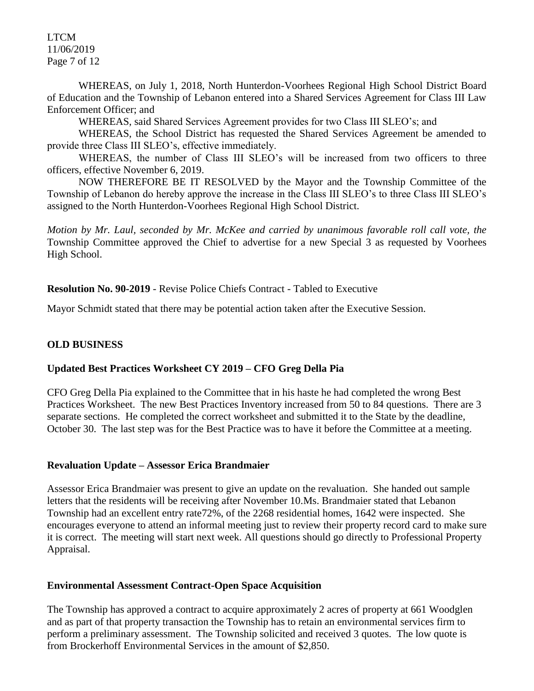LTCM 11/06/2019 Page 7 of 12

WHEREAS, on July 1, 2018, North Hunterdon-Voorhees Regional High School District Board of Education and the Township of Lebanon entered into a Shared Services Agreement for Class III Law Enforcement Officer; and

WHEREAS, said Shared Services Agreement provides for two Class III SLEO's; and

WHEREAS, the School District has requested the Shared Services Agreement be amended to provide three Class III SLEO's, effective immediately.

WHEREAS, the number of Class III SLEO's will be increased from two officers to three officers, effective November 6, 2019.

NOW THEREFORE BE IT RESOLVED by the Mayor and the Township Committee of the Township of Lebanon do hereby approve the increase in the Class III SLEO's to three Class III SLEO's assigned to the North Hunterdon-Voorhees Regional High School District.

*Motion by Mr. Laul, seconded by Mr. McKee and carried by unanimous favorable roll call vote, the* Township Committee approved the Chief to advertise for a new Special 3 as requested by Voorhees High School.

#### **Resolution No. 90-2019** - Revise Police Chiefs Contract - Tabled to Executive

Mayor Schmidt stated that there may be potential action taken after the Executive Session.

#### **OLD BUSINESS**

#### **Updated Best Practices Worksheet CY 2019 – CFO Greg Della Pia**

CFO Greg Della Pia explained to the Committee that in his haste he had completed the wrong Best Practices Worksheet. The new Best Practices Inventory increased from 50 to 84 questions. There are 3 separate sections. He completed the correct worksheet and submitted it to the State by the deadline, October 30. The last step was for the Best Practice was to have it before the Committee at a meeting.

#### **Revaluation Update – Assessor Erica Brandmaier**

Assessor Erica Brandmaier was present to give an update on the revaluation. She handed out sample letters that the residents will be receiving after November 10.Ms. Brandmaier stated that Lebanon Township had an excellent entry rate72%, of the 2268 residential homes, 1642 were inspected. She encourages everyone to attend an informal meeting just to review their property record card to make sure it is correct. The meeting will start next week. All questions should go directly to Professional Property Appraisal.

#### **Environmental Assessment Contract-Open Space Acquisition**

The Township has approved a contract to acquire approximately 2 acres of property at 661 Woodglen and as part of that property transaction the Township has to retain an environmental services firm to perform a preliminary assessment. The Township solicited and received 3 quotes. The low quote is from Brockerhoff Environmental Services in the amount of \$2,850.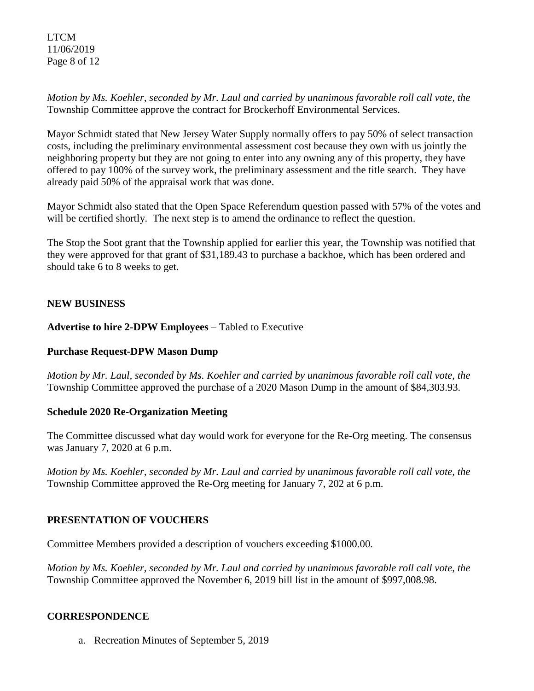LTCM 11/06/2019 Page 8 of 12

*Motion by Ms. Koehler, seconded by Mr. Laul and carried by unanimous favorable roll call vote, the* Township Committee approve the contract for Brockerhoff Environmental Services.

Mayor Schmidt stated that New Jersey Water Supply normally offers to pay 50% of select transaction costs, including the preliminary environmental assessment cost because they own with us jointly the neighboring property but they are not going to enter into any owning any of this property, they have offered to pay 100% of the survey work, the preliminary assessment and the title search. They have already paid 50% of the appraisal work that was done.

Mayor Schmidt also stated that the Open Space Referendum question passed with 57% of the votes and will be certified shortly. The next step is to amend the ordinance to reflect the question.

The Stop the Soot grant that the Township applied for earlier this year, the Township was notified that they were approved for that grant of \$31,189.43 to purchase a backhoe, which has been ordered and should take 6 to 8 weeks to get.

## **NEW BUSINESS**

**Advertise to hire 2-DPW Employees** – Tabled to Executive

## **Purchase Request-DPW Mason Dump**

*Motion by Mr. Laul, seconded by Ms. Koehler and carried by unanimous favorable roll call vote, the* Township Committee approved the purchase of a 2020 Mason Dump in the amount of \$84,303.93.

## **Schedule 2020 Re-Organization Meeting**

The Committee discussed what day would work for everyone for the Re-Org meeting. The consensus was January 7, 2020 at 6 p.m.

*Motion by Ms. Koehler, seconded by Mr. Laul and carried by unanimous favorable roll call vote, the* Township Committee approved the Re-Org meeting for January 7, 202 at 6 p.m.

# **PRESENTATION OF VOUCHERS**

Committee Members provided a description of vouchers exceeding \$1000.00.

*Motion by Ms. Koehler, seconded by Mr. Laul and carried by unanimous favorable roll call vote*, *the*  Township Committee approved the November 6, 2019 bill list in the amount of \$997,008.98.

# **CORRESPONDENCE**

a. Recreation Minutes of September 5, 2019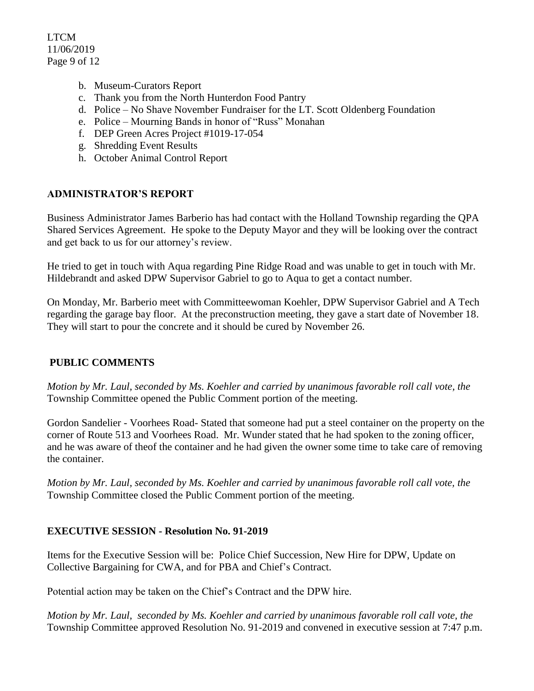LTCM 11/06/2019 Page 9 of 12

- b. Museum-Curators Report
- c. Thank you from the North Hunterdon Food Pantry
- d. Police No Shave November Fundraiser for the LT. Scott Oldenberg Foundation
- e. Police Mourning Bands in honor of "Russ" Monahan
- f. DEP Green Acres Project #1019-17-054
- g. Shredding Event Results
- h. October Animal Control Report

# **ADMINISTRATOR'S REPORT**

Business Administrator James Barberio has had contact with the Holland Township regarding the QPA Shared Services Agreement. He spoke to the Deputy Mayor and they will be looking over the contract and get back to us for our attorney's review.

He tried to get in touch with Aqua regarding Pine Ridge Road and was unable to get in touch with Mr. Hildebrandt and asked DPW Supervisor Gabriel to go to Aqua to get a contact number.

On Monday, Mr. Barberio meet with Committeewoman Koehler, DPW Supervisor Gabriel and A Tech regarding the garage bay floor. At the preconstruction meeting, they gave a start date of November 18. They will start to pour the concrete and it should be cured by November 26.

## **PUBLIC COMMENTS**

*Motion by Mr. Laul, seconded by Ms. Koehler and carried by unanimous favorable roll call vote, the*  Township Committee opened the Public Comment portion of the meeting.

Gordon Sandelier - Voorhees Road- Stated that someone had put a steel container on the property on the corner of Route 513 and Voorhees Road. Mr. Wunder stated that he had spoken to the zoning officer, and he was aware of theof the container and he had given the owner some time to take care of removing the container.

*Motion by Mr. Laul, seconded by Ms. Koehler and carried by unanimous favorable roll call vote, the*  Township Committee closed the Public Comment portion of the meeting.

## **EXECUTIVE SESSION - Resolution No. 91-2019**

Items for the Executive Session will be: Police Chief Succession, New Hire for DPW, Update on Collective Bargaining for CWA, and for PBA and Chief's Contract.

Potential action may be taken on the Chief's Contract and the DPW hire.

*Motion by Mr. Laul, seconded by Ms. Koehler and carried by unanimous favorable roll call vote, the* Township Committee approved Resolution No. 91-2019 and convened in executive session at 7:47 p.m.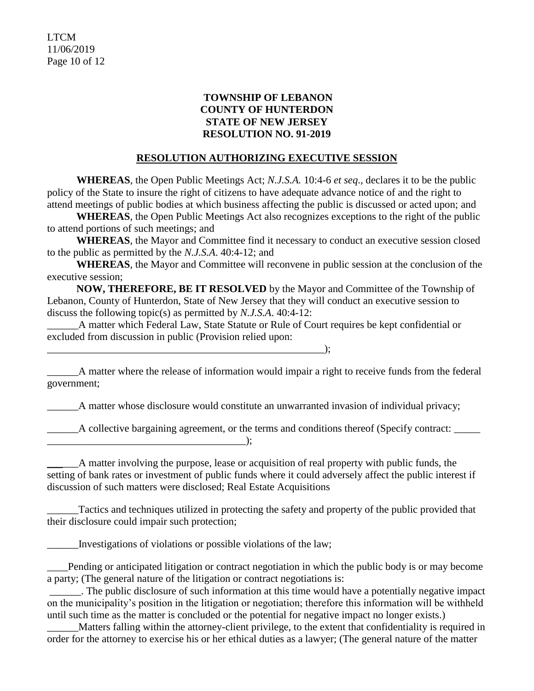LTCM 11/06/2019 Page 10 of 12

## **TOWNSHIP OF LEBANON COUNTY OF HUNTERDON STATE OF NEW JERSEY RESOLUTION NO. 91-2019**

#### **RESOLUTION AUTHORIZING EXECUTIVE SESSION**

**WHEREAS**, the Open Public Meetings Act; *N.J.S.A.* 10:4-6 *et seq*., declares it to be the public policy of the State to insure the right of citizens to have adequate advance notice of and the right to attend meetings of public bodies at which business affecting the public is discussed or acted upon; and

**WHEREAS**, the Open Public Meetings Act also recognizes exceptions to the right of the public to attend portions of such meetings; and

**WHEREAS**, the Mayor and Committee find it necessary to conduct an executive session closed to the public as permitted by the *N.J.S.A*. 40:4-12; and

**WHEREAS**, the Mayor and Committee will reconvene in public session at the conclusion of the executive session;

**NOW, THEREFORE, BE IT RESOLVED** by the Mayor and Committee of the Township of Lebanon, County of Hunterdon, State of New Jersey that they will conduct an executive session to discuss the following topic(s) as permitted by *N.J.S.A*. 40:4-12:

\_\_\_\_\_\_A matter which Federal Law, State Statute or Rule of Court requires be kept confidential or excluded from discussion in public (Provision relied upon:

 $\qquad \qquad )$ ;

\_\_\_\_\_\_A matter where the release of information would impair a right to receive funds from the federal government;

\_\_\_\_\_\_A matter whose disclosure would constitute an unwarranted invasion of individual privacy;

\_\_\_\_\_\_A collective bargaining agreement, or the terms and conditions thereof (Specify contract: \_\_\_\_\_

A matter involving the purpose, lease or acquisition of real property with public funds, the setting of bank rates or investment of public funds where it could adversely affect the public interest if discussion of such matters were disclosed; Real Estate Acquisitions

Tactics and techniques utilized in protecting the safety and property of the public provided that their disclosure could impair such protection;

Investigations of violations or possible violations of the law;

\_\_\_\_\_\_\_\_\_\_\_\_\_\_\_\_\_\_\_\_\_\_\_\_\_\_\_\_\_\_\_\_\_\_\_\_\_\_);

\_\_\_\_Pending or anticipated litigation or contract negotiation in which the public body is or may become a party; (The general nature of the litigation or contract negotiations is:

\_\_\_\_\_\_. The public disclosure of such information at this time would have a potentially negative impact on the municipality's position in the litigation or negotiation; therefore this information will be withheld until such time as the matter is concluded or the potential for negative impact no longer exists.)

\_\_\_\_\_\_Matters falling within the attorney-client privilege, to the extent that confidentiality is required in order for the attorney to exercise his or her ethical duties as a lawyer; (The general nature of the matter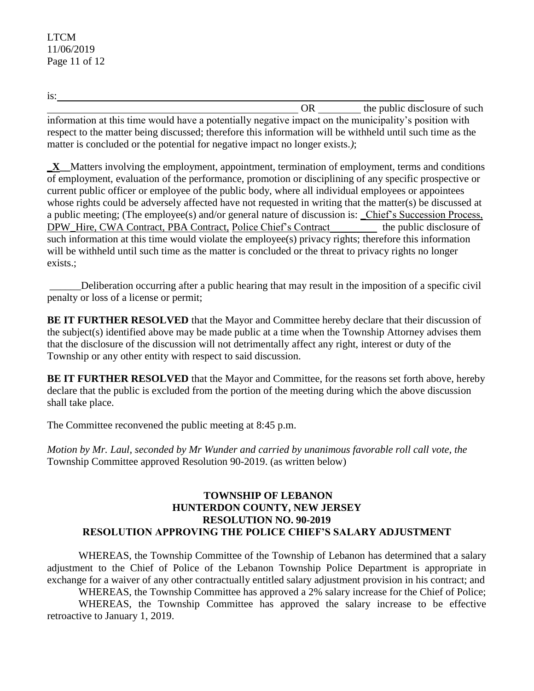is:

OR the public disclosure of such information at this time would have a potentially negative impact on the municipality's position with respect to the matter being discussed; therefore this information will be withheld until such time as the matter is concluded or the potential for negative impact no longer exists.*)*;

**\_X\_\_**Matters involving the employment, appointment, termination of employment, terms and conditions of employment, evaluation of the performance, promotion or disciplining of any specific prospective or current public officer or employee of the public body, where all individual employees or appointees whose rights could be adversely affected have not requested in writing that the matter(s) be discussed at a public meeting; (The employee(s) and/or general nature of discussion is: \_Chief's Succession Process, DPW\_Hire, CWA Contract, PBA Contract, Police Chief's Contract\_\_\_\_\_\_\_\_\_ the public disclosure of such information at this time would violate the employee(s) privacy rights; therefore this information will be withheld until such time as the matter is concluded or the threat to privacy rights no longer exists.;

\_\_\_\_\_\_Deliberation occurring after a public hearing that may result in the imposition of a specific civil penalty or loss of a license or permit;

**BE IT FURTHER RESOLVED** that the Mayor and Committee hereby declare that their discussion of the subject(s) identified above may be made public at a time when the Township Attorney advises them that the disclosure of the discussion will not detrimentally affect any right, interest or duty of the Township or any other entity with respect to said discussion.

**BE IT FURTHER RESOLVED** that the Mayor and Committee, for the reasons set forth above, hereby declare that the public is excluded from the portion of the meeting during which the above discussion shall take place.

The Committee reconvened the public meeting at 8:45 p.m.

*Motion by Mr. Laul, seconded by Mr Wunder and carried by unanimous favorable roll call vote, the* Township Committee approved Resolution 90-2019. (as written below)

#### **TOWNSHIP OF LEBANON HUNTERDON COUNTY, NEW JERSEY RESOLUTION NO. 90-2019 RESOLUTION APPROVING THE POLICE CHIEF'S SALARY ADJUSTMENT**

WHEREAS, the Township Committee of the Township of Lebanon has determined that a salary adjustment to the Chief of Police of the Lebanon Township Police Department is appropriate in exchange for a waiver of any other contractually entitled salary adjustment provision in his contract; and

WHEREAS, the Township Committee has approved a 2% salary increase for the Chief of Police; WHEREAS, the Township Committee has approved the salary increase to be effective retroactive to January 1, 2019.